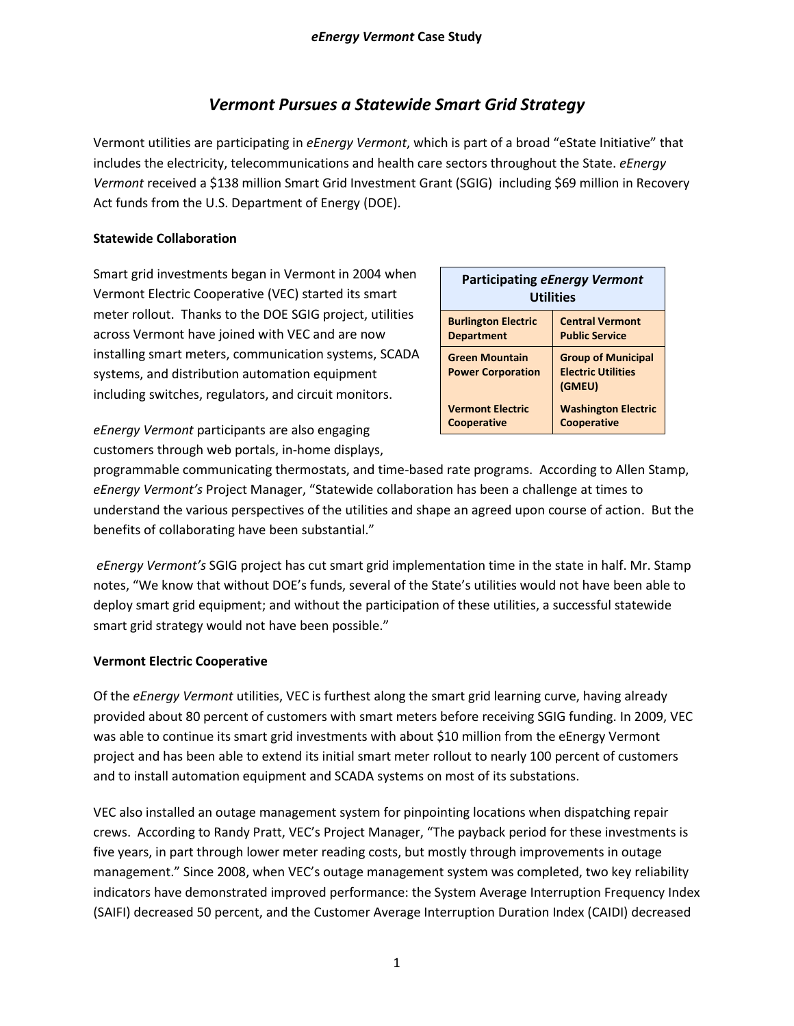# *Vermont Pursues a Statewide Smart Grid Strategy*

Vermont utilities are participating in *eEnergy Vermont*, which is part of a broad "eState Initiative" that includes the electricity, telecommunications and health care sectors throughout the State. *eEnergy Vermont* received a \$138 million Smart Grid Investment Grant (SGIG) including \$69 million in Recovery Act funds from the U.S. Department of Energy (DOE).

### **Statewide Collaboration**

Smart grid investments began in Vermont in 2004 when Vermont Electric Cooperative (VEC) started its smart meter rollout. Thanks to the DOE SGIG project, utilities across Vermont have joined with VEC and are now installing smart meters, communication systems, SCADA systems, and distribution automation equipment including switches, regulators, and circuit monitors.

| <b>Participating eEnergy Vermont</b><br><b>Utilities</b> |                                                                  |
|----------------------------------------------------------|------------------------------------------------------------------|
| <b>Burlington Electric</b>                               | <b>Central Vermont</b>                                           |
| <b>Department</b>                                        | <b>Public Service</b>                                            |
| <b>Green Mountain</b><br><b>Power Corporation</b>        | <b>Group of Municipal</b><br><b>Electric Utilities</b><br>(GMEU) |
| <b>Vermont Electric</b>                                  | <b>Washington Electric</b>                                       |
| <b>Cooperative</b>                                       | <b>Cooperative</b>                                               |

*eEnergy Vermont* participants are also engaging customers through web portals, in-home displays,

programmable communicating thermostats, and time-based rate programs. According to Allen Stamp, *eEnergy Vermont's* Project Manager, "Statewide collaboration has been a challenge at times to understand the various perspectives of the utilities and shape an agreed upon course of action. But the benefits of collaborating have been substantial."

*eEnergy Vermont's* SGIG project has cut smart grid implementation time in the state in half. Mr. Stamp notes, "We know that without DOE's funds, several of the State's utilities would not have been able to deploy smart grid equipment; and without the participation of these utilities, a successful statewide smart grid strategy would not have been possible."

## **Vermont Electric Cooperative**

Of the *eEnergy Vermont* utilities, VEC is furthest along the smart grid learning curve, having already provided about 80 percent of customers with smart meters before receiving SGIG funding. In 2009, VEC was able to continue its smart grid investments with about \$10 million from the eEnergy Vermont project and has been able to extend its initial smart meter rollout to nearly 100 percent of customers and to install automation equipment and SCADA systems on most of its substations.

VEC also installed an outage management system for pinpointing locations when dispatching repair crews. According to Randy Pratt, VEC's Project Manager, "The payback period for these investments is five years, in part through lower meter reading costs, but mostly through improvements in outage management." Since 2008, when VEC's outage management system was completed, two key reliability indicators have demonstrated improved performance: the System Average Interruption Frequency Index (SAIFI) decreased 50 percent, and the Customer Average Interruption Duration Index (CAIDI) decreased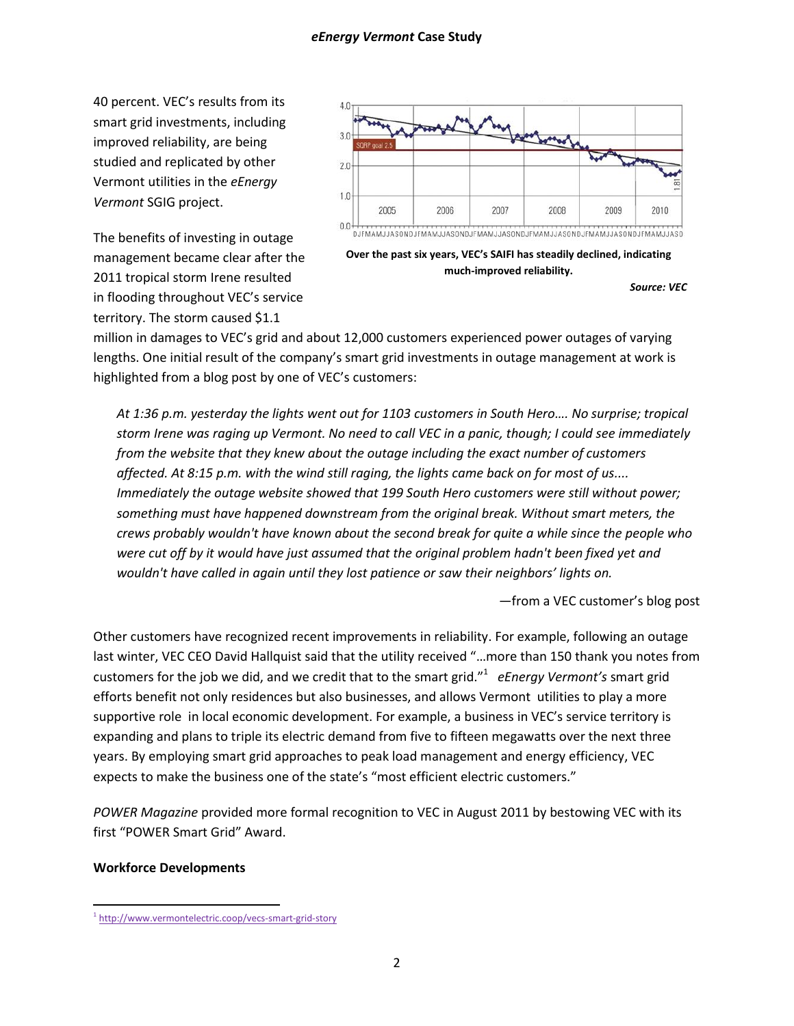40 percent. VEC's results from its smart grid investments, including improved reliability, are being studied and replicated by other Vermont utilities in the *eEnergy Vermont* SGIG project.

The benefits of investing in outage management became clear after the 2011 tropical storm Irene resulted in flooding throughout VEC's service territory. The storm caused \$1.1



**Over the past six years, VEC's SAIFI has steadily declined, indicating much-improved reliability.**

*Source: VEC*

million in damages to VEC's grid and about 12,000 customers experienced power outages of varying lengths. One initial result of the company's smart grid investments in outage management at work is highlighted from a blog post by one of VEC's customers:

*At 1:36 p.m. yesterday the lights went out for 1103 customers in South Hero…. No surprise; tropical storm Irene was raging up Vermont. No need to call VEC in a panic, though; I could see immediately from the website that they knew about the outage including the exact number of customers affected. At 8:15 p.m. with the wind still raging, the lights came back on for most of us.... Immediately the outage website showed that 199 South Hero customers were still without power; something must have happened downstream from the original break. Without smart meters, the crews probably wouldn't have known about the second break for quite a while since the people who were cut off by it would have just assumed that the original problem hadn't been fixed yet and wouldn't have called in again until they lost patience or saw their neighbors' lights on.*

—from a VEC customer's blog post

Other customers have recognized recent improvements in reliability. For example, following an outage last winter, VEC CEO David Hallquist said that the utility received "…more than 150 thank you notes from customers for the job we did, and we credit that to the smart grid."<sup>1</sup> eEnergy Vermont's smart grid efforts benefit not only residences but also businesses, and allows Vermont utilities to play a more supportive role in local economic development. For example, a business in VEC's service territory is expanding and plans to triple its electric demand from five to fifteen megawatts over the next three years. By employing smart grid approaches to peak load management and energy efficiency, VEC expects to make the business one of the state's "most efficient electric customers."

*POWER Magazine* provided more formal recognition to VEC in August 2011 by bestowing VEC with its first "POWER Smart Grid" Award.

#### **Workforce Developments**

l

<sup>&</sup>lt;sup>1</sup><http://www.vermontelectric.coop/vecs-smart-grid-story>